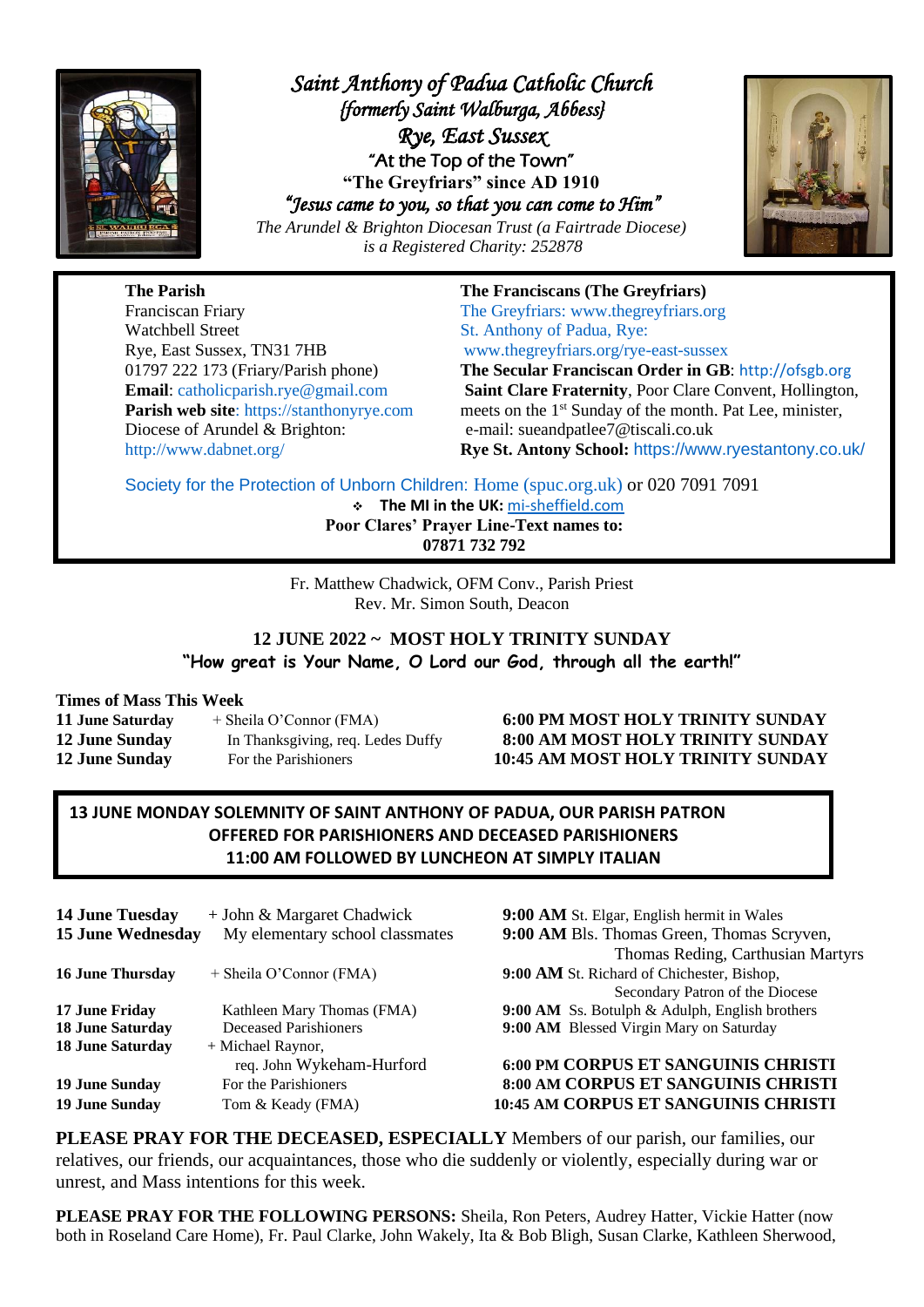

*Saint Anthony of Padua Catholic Church {formerly Saint Walburga, Abbess} Rye, East Sussex*  "At the Top of the Town" **"The Greyfriars" since AD 1910** *"Jesus came to you, so that you can come to Him"* 

*The Arundel & Brighton Diocesan Trust (a Fairtrade Diocese) is a Registered Charity: 252878*



**The Parish The Franciscans (The Greyfriars)** Franciscan Friary The Greyfriars: [www.thegreyfriars.org](http://www.thegreyfriars.org/) Watchbell Street St. Anthony of Padua, Rye: Rye, East Sussex, TN31 7HB [www.thegreyfriars.org/rye-east-sussex](http://www.thegreyfriars.org/rye-east-sussex) Diocese of Arundel & Brighton: e-mail: sueandpatlee7@tiscali.co.uk

01797 222 173 (Friary/Parish phone) **The Secular Franciscan Order in GB**: [http://ofsgb.org](http://ofsgb.org/)

**Email**: [catholicparish.rye@gmail.com](mailto:catholicparish.rye@gmail.com) **Saint Clare Fraternity**, Poor Clare Convent, Hollington, **Parish web site**: https://stanthonyrye.com meets on the 1<sup>st</sup> Sunday of the month. Pat Lee, minister, <http://www.dabnet.org/> **Rye St. Antony School:** <https://www.ryestantony.co.uk/>

Society for the Protection of Unborn Children: [Home \(spuc.org.uk\)](https://www.spuc.org.uk/) or 020 7091 7091

❖ **The MI in the UK:** [mi-sheffield.com](https://www.mi-sheffield.com/) **Poor Clares' Prayer Line-Text names to: 07871 732 792**

Fr. Matthew Chadwick, OFM Conv., Parish Priest Rev. Mr. Simon South, Deacon

## **12 JUNE 2022 ~ MOST HOLY TRINITY SUNDAY "How great is Your Name, O Lord our God, through all the earth!"**

#### **Times of Mass This Week**

| <b>11 June Saturday</b> | + Sheila O'Connor (FMA)           |
|-------------------------|-----------------------------------|
| <b>12 June Sunday</b>   | In Thanksgiving, req. Ledes Duffy |
| <b>12 June Sunday</b>   | For the Parishioners              |

#### **11 June Saturday** + Sheila O'Connor (FMA) **6:00 PM MOST HOLY TRINITY SUNDAY 12 June Sunday** In Thanksgiving, req. Ledes Duffy **8:00 AM MOST HOLY TRINITY SUNDAY 12 June Sunday** For the Parishioners **10:45 AM MOST HOLY TRINITY SUNDAY**

## **13 JUNE MONDAY SOLEMNITY OF SAINT ANTHONY OF PADUA, OUR PARISH PATRON OFFERED FOR PARISHIONERS AND DECEASED PARISHIONERS 11:00 AM FOLLOWED BY LUNCHEON AT SIMPLY ITALIAN**

| <b>14 June Tuesday</b><br><b>15 June Wednesday</b> | + John & Margaret Chadwick<br>My elementary school classmater |
|----------------------------------------------------|---------------------------------------------------------------|
| 16 June Thursday                                   | + Sheila O'Connor (FMA)                                       |
| 17 June Fridav                                     | Kathleen Mary Thomas (FMA)                                    |
| <b>18 June Saturday</b>                            | Deceased Parishioners                                         |
| <b>18 June Saturday</b>                            | + Michael Raynor,                                             |
|                                                    | req. John Wykeham-Hurford                                     |
| <b>19 June Sunday</b>                              | For the Parishioners                                          |
| <b>19 June Sunday</b>                              | Tom & Keady (FMA)                                             |
|                                                    |                                                               |

**9:00 AM** St. Elgar, English hermit in Wales **15 15 9:00 AM** Bls. Thomas Green, Thomas Scryven, Thomas Reding, Carthusian Martyrs **9:00 AM** St. Richard of Chichester, Bishop, Secondary Patron of the Diocese **9:00 AM** Ss. Botulph & Adulph, English brothers **9:00 AM Blessed Virgin Mary on Saturday** 

#### req. John Wykeham-Hurford **6:00 PM CORPUS ET SANGUINIS CHRISTI 19 June Sunday** For the Parishioners **8:00 AM CORPUS ET SANGUINIS CHRISTI 10:45 AM CORPUS ET SANGUINIS CHRISTI**

**PLEASE PRAY FOR THE DECEASED, ESPECIALLY** Members of our parish, our families, our relatives, our friends, our acquaintances, those who die suddenly or violently, especially during war or unrest, and Mass intentions for this week.

**PLEASE PRAY FOR THE FOLLOWING PERSONS:** Sheila, Ron Peters, Audrey Hatter, Vickie Hatter (now both in Roseland Care Home), Fr. Paul Clarke, John Wakely, Ita & Bob Bligh, Susan Clarke, Kathleen Sherwood,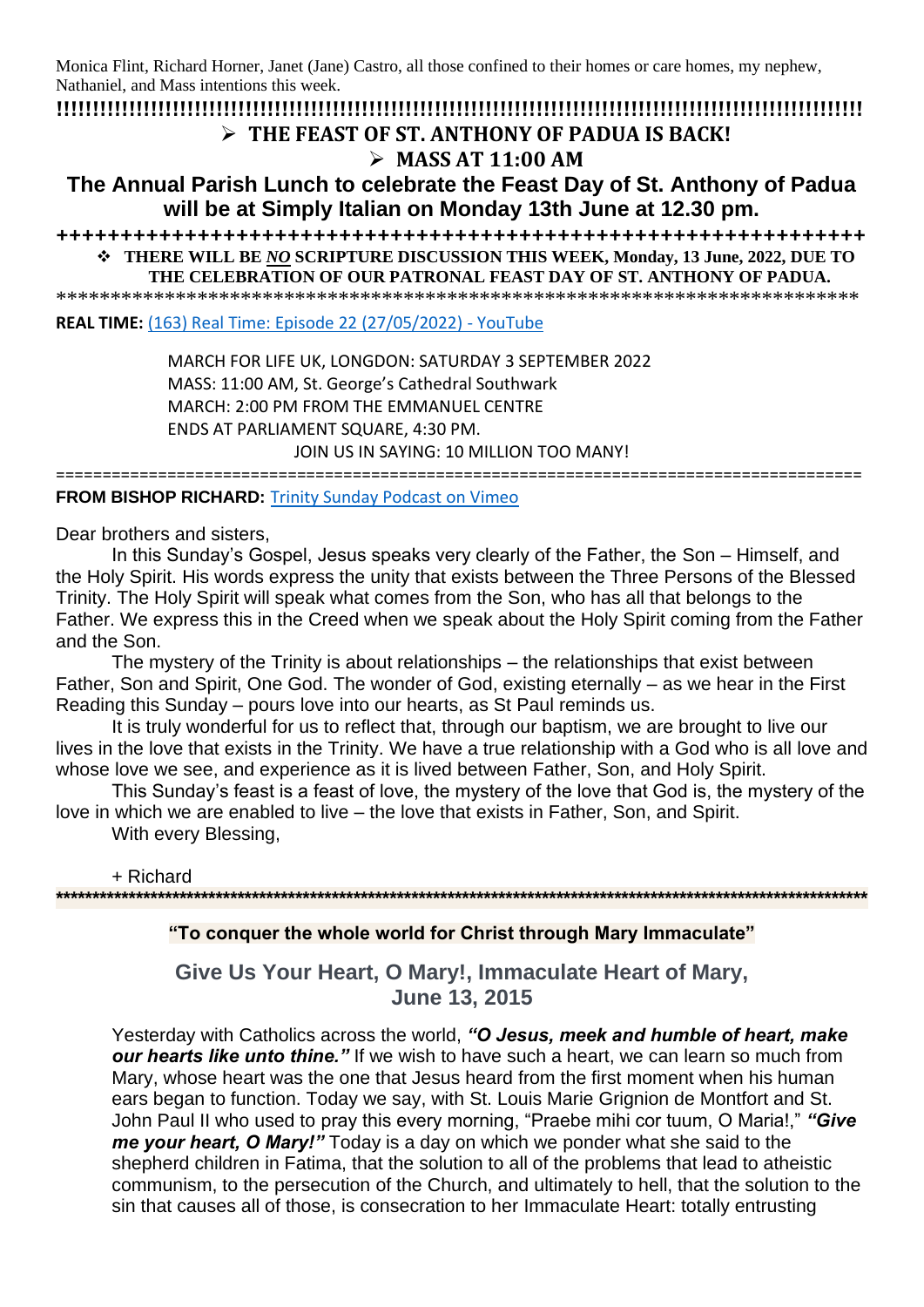Monica Flint, Richard Horner, Janet (Jane) Castro, all those confined to their homes or care homes, my nephew, Nathaniel, and Mass intentions this week.

**!!!!!!!!!!!!!!!!!!!!!!!!!!!!!!!!!!!!!!!!!!!!!!!!!!!!!!!!!!!!!!!!!!!!!!!!!!!!!!!!!!!!!!!!!!!!!!!!!!!!!!!!!!!!!!!** ➢ **THE FEAST OF ST. ANTHONY OF PADUA IS BACK!**

# ➢ **MASS AT 11:00 AM**

**The Annual Parish Lunch to celebrate the Feast Day of St. Anthony of Padua will be at Simply Italian on Monday 13th June at 12.30 pm.** 

**+++++++++++++++++++++++++++++++++++++++++++++++++++++++++++++++** ❖ **THERE WILL BE** *NO* **SCRIPTURE DISCUSSION THIS WEEK, Monday, 13 June, 2022, DUE TO** 

**THE CELEBRATION OF OUR PATRONAL FEAST DAY OF ST. ANTHONY OF PADUA.**

\*\*\*\*\*\*\*\*\*\*\*\*\*\*\*\*\*\*\*\*\*\*\*\*\*\*\*\*\*\*\*\*\*\*\*\*\*\*\*\*\*\*\*\*\*\*\*\*\*\*\*\*\*\*\*\*\*\*\*\*\*\*\*\*\*\*\*\*\*\*\*\*\*\*

**REAL TIME:** [\(163\) Real Time: Episode 22 \(27/05/2022\) -](https://www.youtube.com/watch?v=1opEBSPqbMY) YouTube

MARCH FOR LIFE UK, LONGDON: SATURDAY 3 SEPTEMBER 2022 MASS: 11:00 AM, St. George's Cathedral Southwark MARCH: 2:00 PM FROM THE EMMANUEL CENTRE ENDS AT PARLIAMENT SQUARE, 4:30 PM.

JOIN US IN SAYING: 10 MILLION TOO MANY!

=======================================================================================

**FROM BISHOP RICHARD:** [Trinity Sunday Podcast on Vimeo](https://vimeo.com/718599485?ct=t(EMAIL_CAMPAIGN_2_17_2022_14_56_COPY_02)&mc_cid=b411b4c6ac&mc_eid=b72a3215d2)

Dear brothers and sisters,

In this Sunday's Gospel, Jesus speaks very clearly of the Father, the Son – Himself, and the Holy Spirit. His words express the unity that exists between the Three Persons of the Blessed Trinity. The Holy Spirit will speak what comes from the Son, who has all that belongs to the Father. We express this in the Creed when we speak about the Holy Spirit coming from the Father and the Son.

The mystery of the Trinity is about relationships – the relationships that exist between Father, Son and Spirit, One God. The wonder of God, existing eternally – as we hear in the First Reading this Sunday – pours love into our hearts, as St Paul reminds us.

It is truly wonderful for us to reflect that, through our baptism, we are brought to live our lives in the love that exists in the Trinity. We have a true relationship with a God who is all love and whose love we see, and experience as it is lived between Father, Son, and Holy Spirit.

This Sunday's feast is a feast of love, the mystery of the love that God is, the mystery of the love in which we are enabled to live – the love that exists in Father, Son, and Spirit.

With every Blessing,

+ Richard **\*\*\*\*\*\*\*\*\*\*\*\*\*\*\*\*\*\*\*\*\*\*\*\*\*\*\*\*\*\*\*\*\*\*\*\*\*\*\*\*\*\*\*\*\*\*\*\*\*\*\*\*\*\*\*\*\*\*\*\*\*\*\*\*\*\*\*\*\*\*\*\*\*\*\*\*\*\*\*\*\*\*\*\*\*\*\*\*\*\*\*\*\*\*\*\*\*\*\*\*\*\*\*\*\*\*\*\*\*\*\*\***

### **"To conquer the whole world for Christ through Mary Immaculate"**

**Give Us Your Heart, O Mary!, Immaculate Heart of Mary, June 13, 2015**

Yesterday with Catholics across the world, *"O Jesus, meek and humble of heart, make our hearts like unto thine."* If we wish to have such a heart, we can learn so much from Mary, whose heart was the one that Jesus heard from the first moment when his human ears began to function. Today we say, with St. Louis Marie Grignion de Montfort and St. John Paul II who used to pray this every morning, "Praebe mihi cor tuum, O Maria!," *"Give me your heart, O Mary!"* Today is a day on which we ponder what she said to the shepherd children in Fatima, that the solution to all of the problems that lead to atheistic communism, to the persecution of the Church, and ultimately to hell, that the solution to the sin that causes all of those, is consecration to her Immaculate Heart: totally entrusting